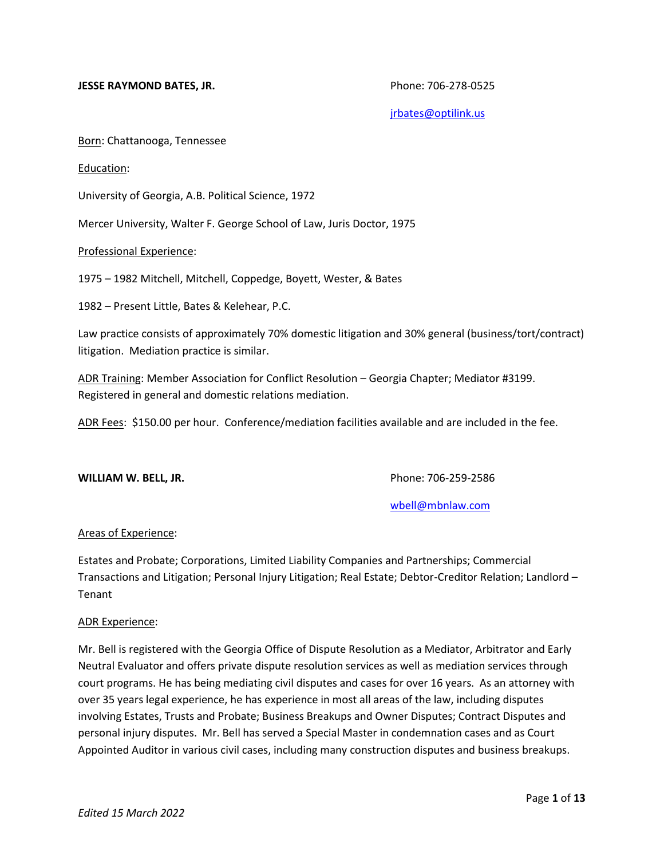## **JESSE RAYMOND BATES, JR. Phone: 706-278-0525**

[jrbates@optilink.us](mailto:jrbates@optilink.us)

Born: Chattanooga, Tennessee

### Education:

University of Georgia, A.B. Political Science, 1972

Mercer University, Walter F. George School of Law, Juris Doctor, 1975

Professional Experience:

1975 – 1982 Mitchell, Mitchell, Coppedge, Boyett, Wester, & Bates

1982 – Present Little, Bates & Kelehear, P.C.

Law practice consists of approximately 70% domestic litigation and 30% general (business/tort/contract) litigation. Mediation practice is similar.

ADR Training: Member Association for Conflict Resolution – Georgia Chapter; Mediator #3199. Registered in general and domestic relations mediation.

ADR Fees: \$150.00 per hour. Conference/mediation facilities available and are included in the fee.

#### **WILLIAM W. BELL, JR.** Phone: 706-259-2586

[wbell@mbnlaw.com](mailto:wbell@mbnlaw.com)

# Areas of Experience:

Estates and Probate; Corporations, Limited Liability Companies and Partnerships; Commercial Transactions and Litigation; Personal Injury Litigation; Real Estate; Debtor-Creditor Relation; Landlord – Tenant

#### ADR Experience:

Mr. Bell is registered with the Georgia Office of Dispute Resolution as a Mediator, Arbitrator and Early Neutral Evaluator and offers private dispute resolution services as well as mediation services through court programs. He has being mediating civil disputes and cases for over 16 years. As an attorney with over 35 years legal experience, he has experience in most all areas of the law, including disputes involving Estates, Trusts and Probate; Business Breakups and Owner Disputes; Contract Disputes and personal injury disputes. Mr. Bell has served a Special Master in condemnation cases and as Court Appointed Auditor in various civil cases, including many construction disputes and business breakups.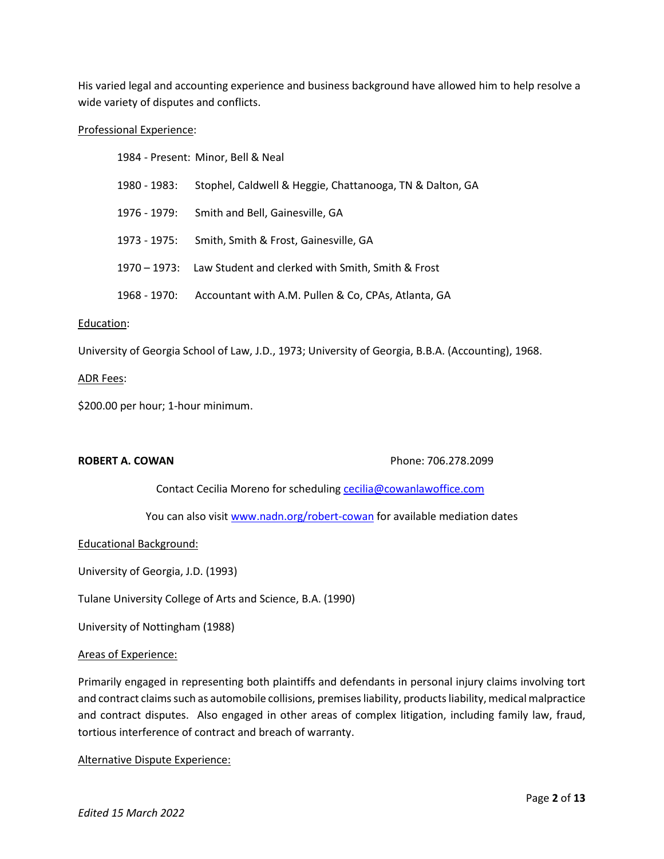His varied legal and accounting experience and business background have allowed him to help resolve a wide variety of disputes and conflicts.

### Professional Experience:

|                 | 1984 - Present: Minor, Bell & Neal                             |
|-----------------|----------------------------------------------------------------|
| 1980 - 1983:    | Stophel, Caldwell & Heggie, Chattanooga, TN & Dalton, GA       |
| 1976 - 1979:    | Smith and Bell, Gainesville, GA                                |
| 1973 - 1975:    | Smith, Smith & Frost, Gainesville, GA                          |
|                 | 1970 – 1973: Law Student and clerked with Smith, Smith & Frost |
| $1968 - 1970$ : | Accountant with A.M. Pullen & Co, CPAs, Atlanta, GA            |

#### Education:

University of Georgia School of Law, J.D., 1973; University of Georgia, B.B.A. (Accounting), 1968.

# ADR Fees:

\$200.00 per hour; 1-hour minimum.

**ROBERT A. COWAN Phone: 706.278.2099** 

Contact Cecilia Moreno for scheduling [cecilia@cowanlawoffice.com](mailto:cecilia@cowanlawoffice.com)

You can also visit [www.nadn.org/robert-cowan](http://www.nadn.org/robert-cowan) for available mediation dates

Educational Background:

University of Georgia, J.D. (1993)

Tulane University College of Arts and Science, B.A. (1990)

University of Nottingham (1988)

#### Areas of Experience:

Primarily engaged in representing both plaintiffs and defendants in personal injury claims involving tort and contract claims such as automobile collisions, premises liability, products liability, medical malpractice and contract disputes. Also engaged in other areas of complex litigation, including family law, fraud, tortious interference of contract and breach of warranty.

Alternative Dispute Experience: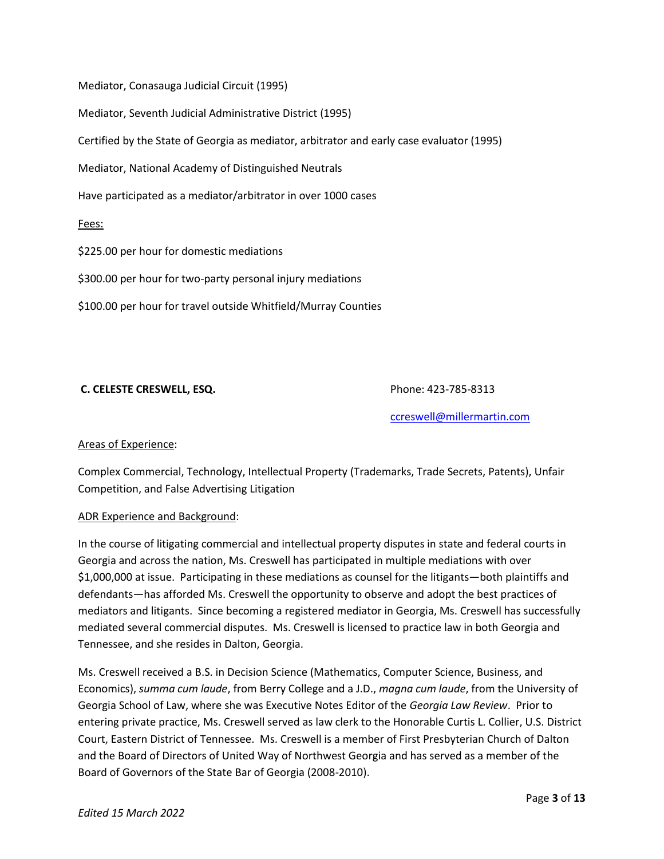Mediator, Conasauga Judicial Circuit (1995)

Mediator, Seventh Judicial Administrative District (1995)

Certified by the State of Georgia as mediator, arbitrator and early case evaluator (1995)

Mediator, National Academy of Distinguished Neutrals

Have participated as a mediator/arbitrator in over 1000 cases

Fees:

\$225.00 per hour for domestic mediations

\$300.00 per hour for two-party personal injury mediations

\$100.00 per hour for travel outside Whitfield/Murray Counties

# **C. CELESTE CRESWELL, ESQ.** Phone: 423-785-8313

[ccreswell@millermartin.com](mailto:ccreswell@millermartin.com)

## Areas of Experience:

Complex Commercial, Technology, Intellectual Property (Trademarks, Trade Secrets, Patents), Unfair Competition, and False Advertising Litigation

# ADR Experience and Background:

In the course of litigating commercial and intellectual property disputes in state and federal courts in Georgia and across the nation, Ms. Creswell has participated in multiple mediations with over \$1,000,000 at issue. Participating in these mediations as counsel for the litigants—both plaintiffs and defendants—has afforded Ms. Creswell the opportunity to observe and adopt the best practices of mediators and litigants. Since becoming a registered mediator in Georgia, Ms. Creswell has successfully mediated several commercial disputes. Ms. Creswell is licensed to practice law in both Georgia and Tennessee, and she resides in Dalton, Georgia.

Ms. Creswell received a B.S. in Decision Science (Mathematics, Computer Science, Business, and Economics), *summa cum laude*, from Berry College and a J.D., *magna cum laude*, from the University of Georgia School of Law, where she was Executive Notes Editor of the *Georgia Law Review*. Prior to entering private practice, Ms. Creswell served as law clerk to the Honorable Curtis L. Collier, U.S. District Court, Eastern District of Tennessee. Ms. Creswell is a member of First Presbyterian Church of Dalton and the Board of Directors of United Way of Northwest Georgia and has served as a member of the Board of Governors of the State Bar of Georgia (2008-2010).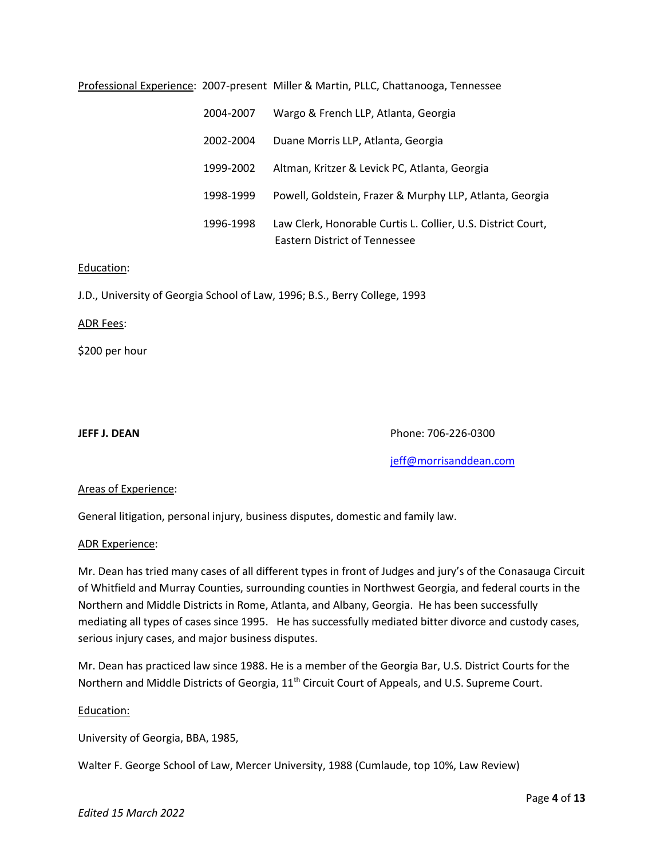# Professional Experience: 2007-present Miller & Martin, PLLC, Chattanooga, Tennessee

| 2004-2007 | Wargo & French LLP, Atlanta, Georgia                                                                 |
|-----------|------------------------------------------------------------------------------------------------------|
| 2002-2004 | Duane Morris LLP, Atlanta, Georgia                                                                   |
| 1999-2002 | Altman, Kritzer & Levick PC, Atlanta, Georgia                                                        |
| 1998-1999 | Powell, Goldstein, Frazer & Murphy LLP, Atlanta, Georgia                                             |
| 1996-1998 | Law Clerk, Honorable Curtis L. Collier, U.S. District Court,<br><b>Eastern District of Tennessee</b> |

## Education:

J.D., University of Georgia School of Law, 1996; B.S., Berry College, 1993

#### ADR Fees:

\$200 per hour

**JEFF J. DEAN** Phone: 706-226-0300

[jeff@morrisanddean.com](mailto:jeff@morrisanddean.com)

# Areas of Experience:

General litigation, personal injury, business disputes, domestic and family law.

#### ADR Experience:

Mr. Dean has tried many cases of all different types in front of Judges and jury's of the Conasauga Circuit of Whitfield and Murray Counties, surrounding counties in Northwest Georgia, and federal courts in the Northern and Middle Districts in Rome, Atlanta, and Albany, Georgia. He has been successfully mediating all types of cases since 1995. He has successfully mediated bitter divorce and custody cases, serious injury cases, and major business disputes.

Mr. Dean has practiced law since 1988. He is a member of the Georgia Bar, U.S. District Courts for the Northern and Middle Districts of Georgia, 11<sup>th</sup> Circuit Court of Appeals, and U.S. Supreme Court.

## Education:

University of Georgia, BBA, 1985,

Walter F. George School of Law, Mercer University, 1988 (Cumlaude, top 10%, Law Review)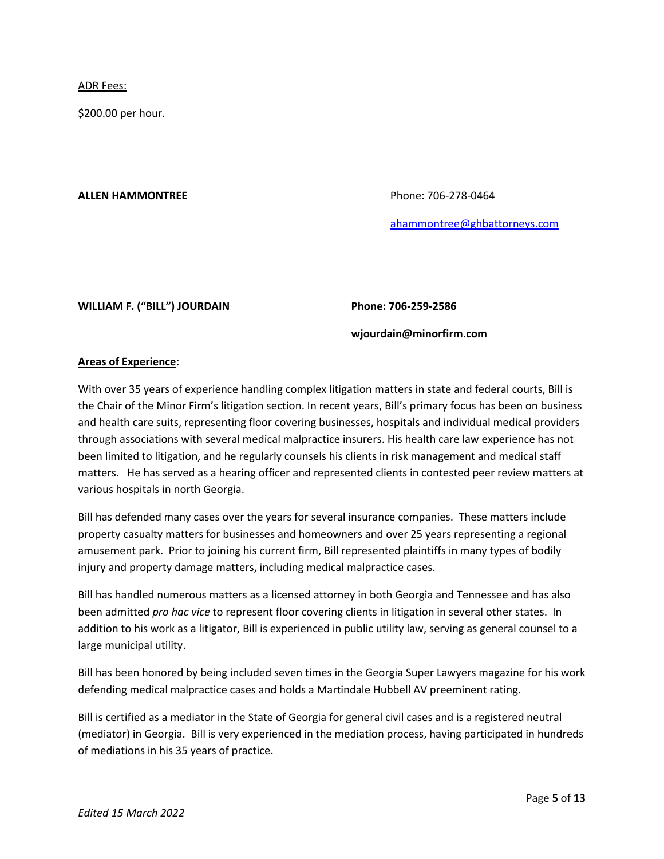ADR Fees:

\$200.00 per hour.

## **ALLEN HAMMONTREE** Phone: 706-278-0464

[ahammontree@ghbattorneys.com](mailto:ahammontree@ghbattorneys.com)

# **WILLIAM F. ("BILL") JOURDAIN Phone: 706-259-2586**

# **wjourdain@minorfirm.com**

# **Areas of Experience**:

With over 35 years of experience handling complex litigation matters in state and federal courts, Bill is the Chair of the Minor Firm's litigation section. In recent years, Bill's primary focus has been on business and health care suits, representing floor covering businesses, hospitals and individual medical providers through associations with several medical malpractice insurers. His health care law experience has not been limited to litigation, and he regularly counsels his clients in risk management and medical staff matters. He has served as a hearing officer and represented clients in contested peer review matters at various hospitals in north Georgia.

Bill has defended many cases over the years for several insurance companies. These matters include property casualty matters for businesses and homeowners and over 25 years representing a regional amusement park. Prior to joining his current firm, Bill represented plaintiffs in many types of bodily injury and property damage matters, including medical malpractice cases.

Bill has handled numerous matters as a licensed attorney in both Georgia and Tennessee and has also been admitted *pro hac vice* to represent floor covering clients in litigation in several other states. In addition to his work as a litigator, Bill is experienced in public utility law, serving as general counsel to a large municipal utility.

Bill has been honored by being included seven times in the Georgia Super Lawyers magazine for his work defending medical malpractice cases and holds a Martindale Hubbell AV preeminent rating.

Bill is certified as a mediator in the State of Georgia for general civil cases and is a registered neutral (mediator) in Georgia. Bill is very experienced in the mediation process, having participated in hundreds of mediations in his 35 years of practice.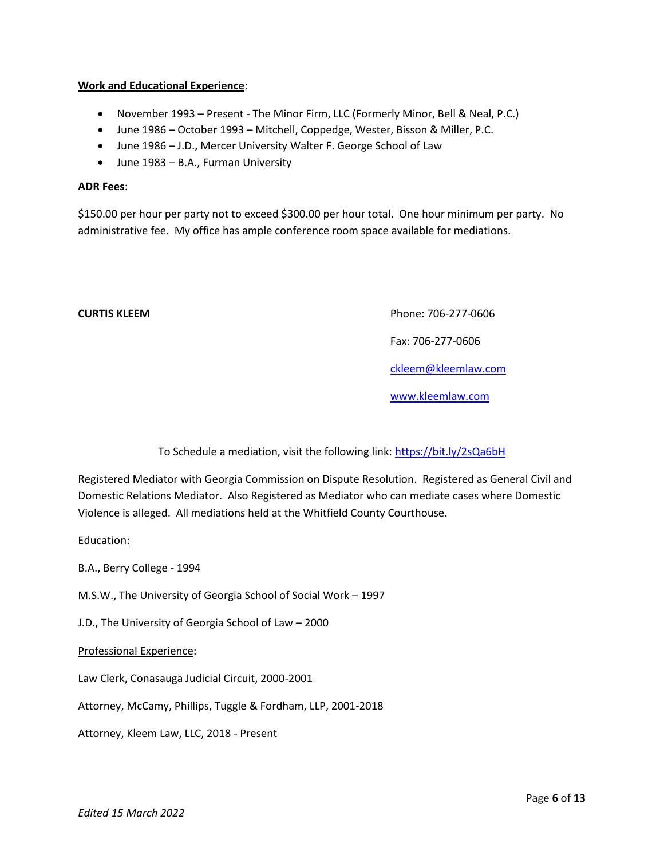# **Work and Educational Experience**:

- November 1993 Present The Minor Firm, LLC (Formerly Minor, Bell & Neal, P.C.)
- June 1986 October 1993 Mitchell, Coppedge, Wester, Bisson & Miller, P.C.
- June 1986 J.D., Mercer University Walter F. George School of Law
- June 1983 B.A., Furman University

# **ADR Fees**:

\$150.00 per hour per party not to exceed \$300.00 per hour total. One hour minimum per party. No administrative fee. My office has ample conference room space available for mediations.

**CURTIS KLEEM Phone: 706-277-0606** 

Fax: 706-277-0606

[ckleem@kleemlaw.com](mailto:ckleem@kleemlaw.com)

[www.kleemlaw.com](http://www.kleemlaw.com/)

To Schedule a mediation, visit the following link:<https://bit.ly/2sQa6bH>

Registered Mediator with Georgia Commission on Dispute Resolution. Registered as General Civil and Domestic Relations Mediator. Also Registered as Mediator who can mediate cases where Domestic Violence is alleged. All mediations held at the Whitfield County Courthouse.

Education:

B.A., Berry College - 1994

M.S.W., The University of Georgia School of Social Work – 1997

J.D., The University of Georgia School of Law – 2000

Professional Experience:

Law Clerk, Conasauga Judicial Circuit, 2000-2001

Attorney, McCamy, Phillips, Tuggle & Fordham, LLP, 2001-2018

Attorney, Kleem Law, LLC, 2018 - Present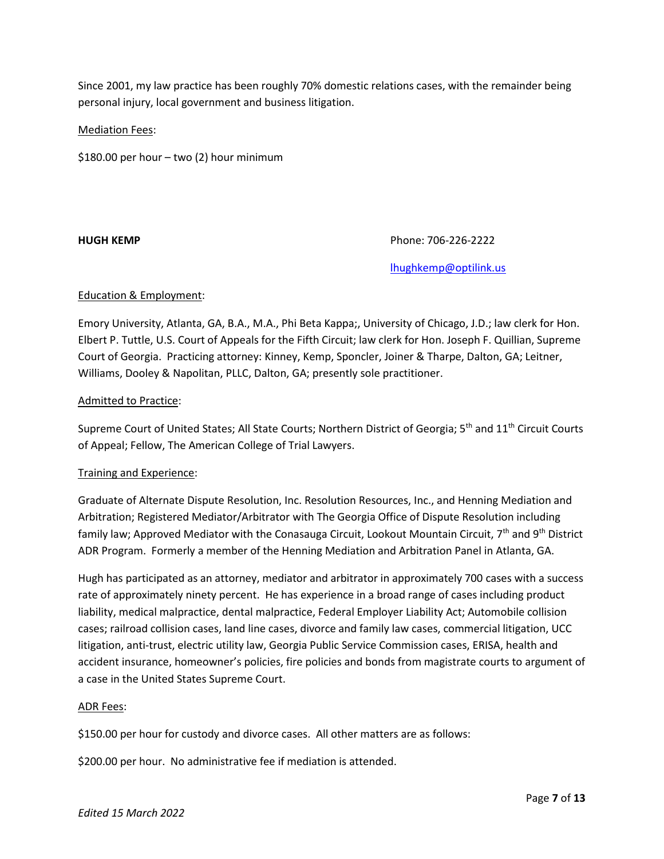Since 2001, my law practice has been roughly 70% domestic relations cases, with the remainder being personal injury, local government and business litigation.

# Mediation Fees:

\$180.00 per hour – two (2) hour minimum

**HUGH KEMP Phone: 706-226-2222** 

[lhughkemp@optilink.us](mailto:lhughkemp@optilink.us)

# Education & Employment:

Emory University, Atlanta, GA, B.A., M.A., Phi Beta Kappa;, University of Chicago, J.D.; law clerk for Hon. Elbert P. Tuttle, U.S. Court of Appeals for the Fifth Circuit; law clerk for Hon. Joseph F. Quillian, Supreme Court of Georgia. Practicing attorney: Kinney, Kemp, Sponcler, Joiner & Tharpe, Dalton, GA; Leitner, Williams, Dooley & Napolitan, PLLC, Dalton, GA; presently sole practitioner.

# Admitted to Practice:

Supreme Court of United States; All State Courts; Northern District of Georgia; 5<sup>th</sup> and 11<sup>th</sup> Circuit Courts of Appeal; Fellow, The American College of Trial Lawyers.

## Training and Experience:

Graduate of Alternate Dispute Resolution, Inc. Resolution Resources, Inc., and Henning Mediation and Arbitration; Registered Mediator/Arbitrator with The Georgia Office of Dispute Resolution including family law; Approved Mediator with the Conasauga Circuit, Lookout Mountain Circuit, 7<sup>th</sup> and 9<sup>th</sup> District ADR Program. Formerly a member of the Henning Mediation and Arbitration Panel in Atlanta, GA.

Hugh has participated as an attorney, mediator and arbitrator in approximately 700 cases with a success rate of approximately ninety percent. He has experience in a broad range of cases including product liability, medical malpractice, dental malpractice, Federal Employer Liability Act; Automobile collision cases; railroad collision cases, land line cases, divorce and family law cases, commercial litigation, UCC litigation, anti-trust, electric utility law, Georgia Public Service Commission cases, ERISA, health and accident insurance, homeowner's policies, fire policies and bonds from magistrate courts to argument of a case in the United States Supreme Court.

## ADR Fees:

\$150.00 per hour for custody and divorce cases. All other matters are as follows:

\$200.00 per hour. No administrative fee if mediation is attended.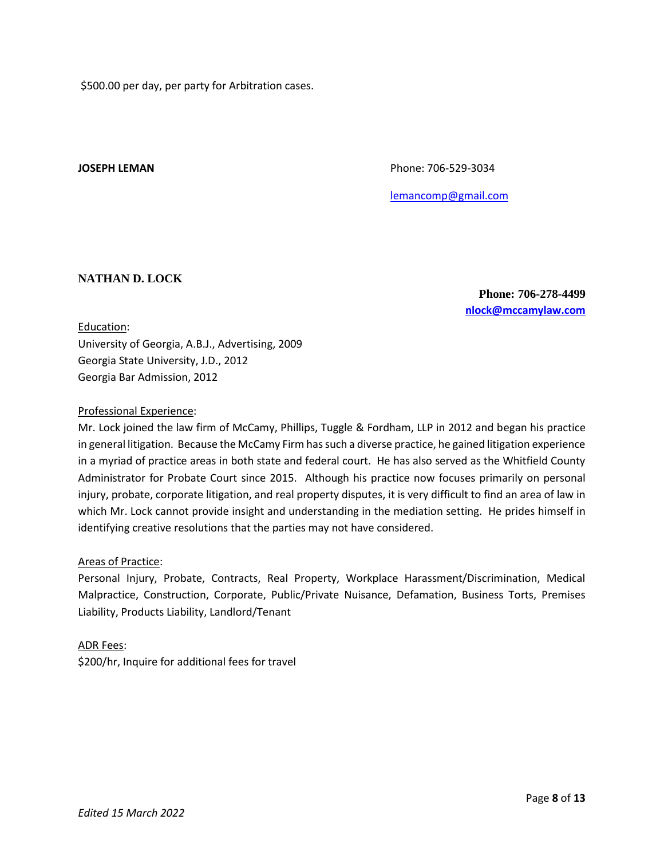\$500.00 per day, per party for Arbitration cases.

**JOSEPH LEMAN Phone: 706-529-3034** 

[lemancomp@gmail.com](mailto:lemancomp@gmail.com)

# **NATHAN D. LOCK**

**Phone: 706-278-4499 [nlock@mccamylaw.com](mailto:nlock@mccamylaw.com)**

### Education:

University of Georgia, A.B.J., Advertising, 2009 Georgia State University, J.D., 2012 Georgia Bar Admission, 2012

## Professional Experience:

Mr. Lock joined the law firm of McCamy, Phillips, Tuggle & Fordham, LLP in 2012 and began his practice in general litigation. Because the McCamy Firm has such a diverse practice, he gained litigation experience in a myriad of practice areas in both state and federal court. He has also served as the Whitfield County Administrator for Probate Court since 2015. Although his practice now focuses primarily on personal injury, probate, corporate litigation, and real property disputes, it is very difficult to find an area of law in which Mr. Lock cannot provide insight and understanding in the mediation setting. He prides himself in identifying creative resolutions that the parties may not have considered.

## Areas of Practice:

Personal Injury, Probate, Contracts, Real Property, Workplace Harassment/Discrimination, Medical Malpractice, Construction, Corporate, Public/Private Nuisance, Defamation, Business Torts, Premises Liability, Products Liability, Landlord/Tenant

## ADR Fees:

\$200/hr, Inquire for additional fees for travel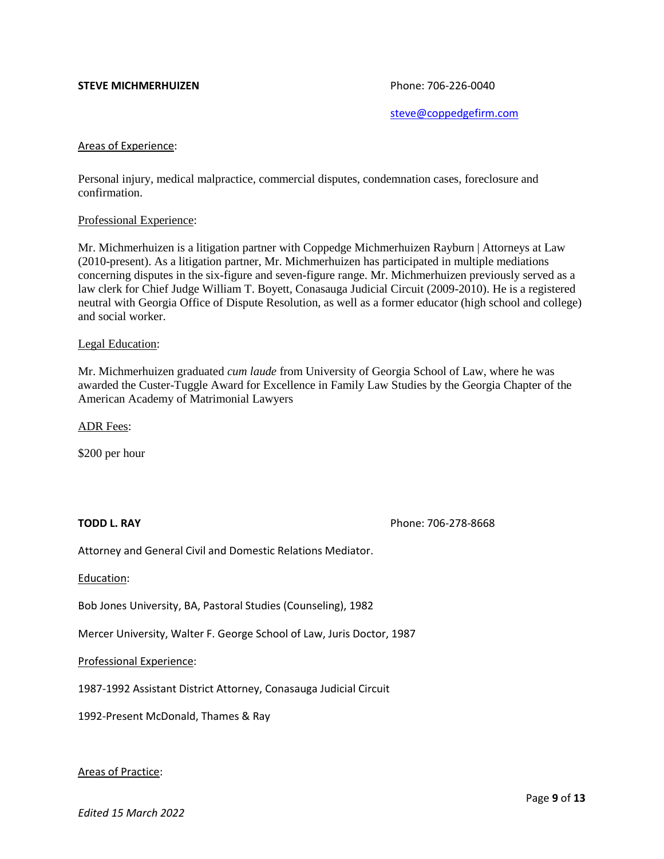### **STEVE MICHMERHUIZEN Phone: 706-226-0040**

[steve@coppedgefirm.com](mailto:steve@coppedgefirm.com)

#### Areas of Experience:

Personal injury, medical malpractice, commercial disputes, condemnation cases, foreclosure and confirmation.

#### Professional Experience:

Mr. Michmerhuizen is a litigation partner with Coppedge Michmerhuizen Rayburn | Attorneys at Law (2010-present). As a litigation partner, Mr. Michmerhuizen has participated in multiple mediations concerning disputes in the six-figure and seven-figure range. Mr. Michmerhuizen previously served as a law clerk for Chief Judge William T. Boyett, Conasauga Judicial Circuit (2009-2010). He is a registered neutral with Georgia Office of Dispute Resolution, as well as a former educator (high school and college) and social worker.

#### Legal Education:

Mr. Michmerhuizen graduated *cum laude* from University of Georgia School of Law, where he was awarded the Custer-Tuggle Award for Excellence in Family Law Studies by the Georgia Chapter of the American Academy of Matrimonial Lawyers

ADR Fees:

\$200 per hour

**TODD L. RAY Phone: 706-278-8668** 

Attorney and General Civil and Domestic Relations Mediator.

Education:

Bob Jones University, BA, Pastoral Studies (Counseling), 1982

Mercer University, Walter F. George School of Law, Juris Doctor, 1987

Professional Experience:

1987-1992 Assistant District Attorney, Conasauga Judicial Circuit

1992-Present McDonald, Thames & Ray

## Areas of Practice: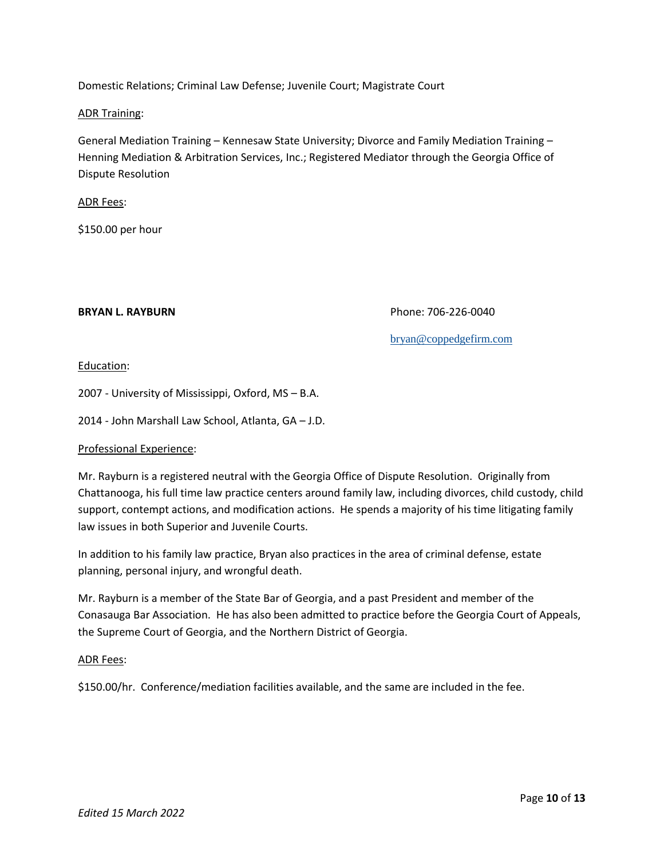Domestic Relations; Criminal Law Defense; Juvenile Court; Magistrate Court

## ADR Training:

General Mediation Training – Kennesaw State University; Divorce and Family Mediation Training – Henning Mediation & Arbitration Services, Inc.; Registered Mediator through the Georgia Office of Dispute Resolution

## ADR Fees:

\$150.00 per hour

**BRYAN L. RAYBURN** Phone: 706-226-0040

[bryan@coppedgefirm.com](mailto:bryan@coppedgefirm.com)

# Education:

2007 - University of Mississippi, Oxford, MS – B.A.

2014 - John Marshall Law School, Atlanta, GA – J.D.

## Professional Experience:

Mr. Rayburn is a registered neutral with the Georgia Office of Dispute Resolution. Originally from Chattanooga, his full time law practice centers around family law, including divorces, child custody, child support, contempt actions, and modification actions. He spends a majority of his time litigating family law issues in both Superior and Juvenile Courts.

In addition to his family law practice, Bryan also practices in the area of criminal defense, estate planning, personal injury, and wrongful death.

Mr. Rayburn is a member of the State Bar of Georgia, and a past President and member of the Conasauga Bar Association. He has also been admitted to practice before the Georgia Court of Appeals, the Supreme Court of Georgia, and the Northern District of Georgia.

## ADR Fees:

\$150.00/hr. Conference/mediation facilities available, and the same are included in the fee.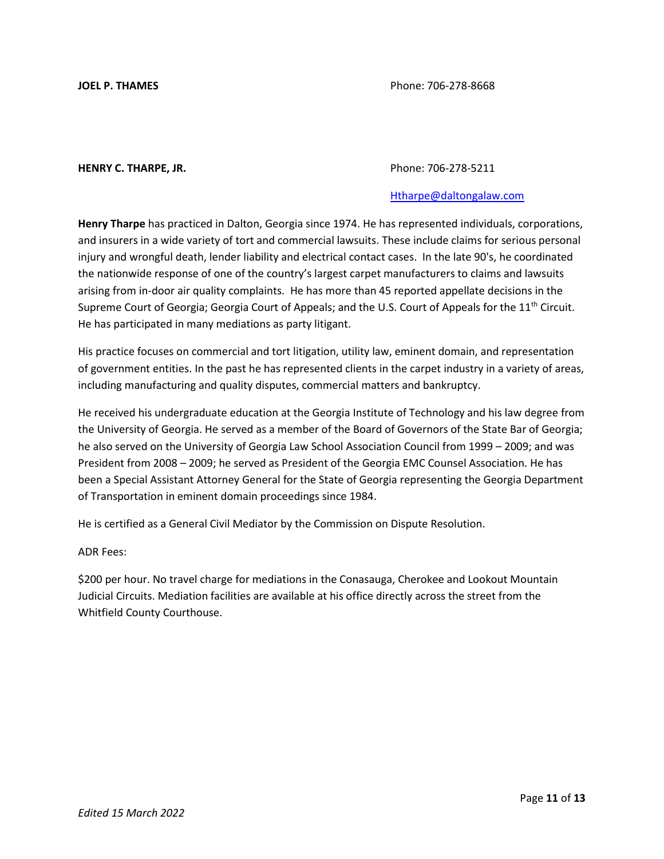### **HENRY C. THARPE, JR.** Phone: 706-278-5211

## [Htharpe@daltongalaw.com](mailto:Htharpe@daltongalaw.com)

**Henry Tharpe** has practiced in Dalton, Georgia since 1974. He has represented individuals, corporations, and insurers in a wide variety of tort and commercial lawsuits. These include claims for serious personal injury and wrongful death, lender liability and electrical contact cases. In the late 90's, he coordinated the nationwide response of one of the country's largest carpet manufacturers to claims and lawsuits arising from in-door air quality complaints. He has more than 45 reported appellate decisions in the Supreme Court of Georgia; Georgia Court of Appeals; and the U.S. Court of Appeals for the 11<sup>th</sup> Circuit. He has participated in many mediations as party litigant.

His practice focuses on commercial and tort litigation, utility law, eminent domain, and representation of government entities. In the past he has represented clients in the carpet industry in a variety of areas, including manufacturing and quality disputes, commercial matters and bankruptcy.

He received his undergraduate education at the Georgia Institute of Technology and his law degree from the University of Georgia. He served as a member of the Board of Governors of the State Bar of Georgia; he also served on the University of Georgia Law School Association Council from 1999 – 2009; and was President from 2008 – 2009; he served as President of the Georgia EMC Counsel Association. He has been a Special Assistant Attorney General for the State of Georgia representing the Georgia Department of Transportation in eminent domain proceedings since 1984.

He is certified as a General Civil Mediator by the Commission on Dispute Resolution.

## ADR Fees:

\$200 per hour. No travel charge for mediations in the Conasauga, Cherokee and Lookout Mountain Judicial Circuits. Mediation facilities are available at his office directly across the street from the Whitfield County Courthouse.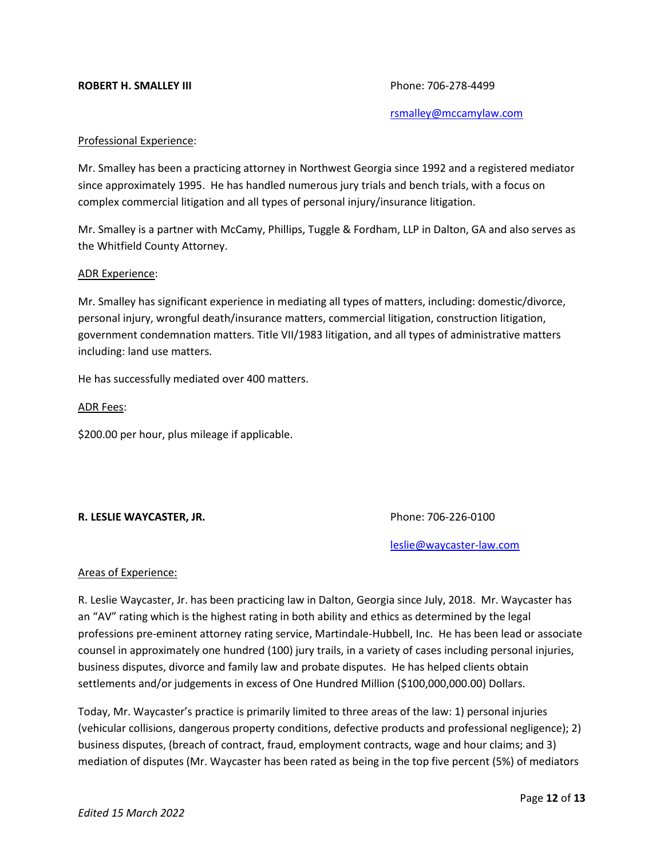### **ROBERT H. SMALLEY III** Phone: 706-278-4499

[rsmalley@mccamylaw.com](mailto:rsmalley@mccamylaw.com)

#### Professional Experience:

Mr. Smalley has been a practicing attorney in Northwest Georgia since 1992 and a registered mediator since approximately 1995. He has handled numerous jury trials and bench trials, with a focus on complex commercial litigation and all types of personal injury/insurance litigation.

Mr. Smalley is a partner with McCamy, Phillips, Tuggle & Fordham, LLP in Dalton, GA and also serves as the Whitfield County Attorney.

#### ADR Experience:

Mr. Smalley has significant experience in mediating all types of matters, including: domestic/divorce, personal injury, wrongful death/insurance matters, commercial litigation, construction litigation, government condemnation matters. Title VII/1983 litigation, and all types of administrative matters including: land use matters.

He has successfully mediated over 400 matters.

#### ADR Fees:

\$200.00 per hour, plus mileage if applicable.

## **R. LESLIE WAYCASTER, JR.** Phone: 706-226-0100

[leslie@waycaster-law.com](mailto:leslie@waycaster-law.com)

## Areas of Experience:

R. Leslie Waycaster, Jr. has been practicing law in Dalton, Georgia since July, 2018. Mr. Waycaster has an "AV" rating which is the highest rating in both ability and ethics as determined by the legal professions pre-eminent attorney rating service, Martindale-Hubbell, Inc. He has been lead or associate counsel in approximately one hundred (100) jury trails, in a variety of cases including personal injuries, business disputes, divorce and family law and probate disputes. He has helped clients obtain settlements and/or judgements in excess of One Hundred Million (\$100,000,000.00) Dollars.

Today, Mr. Waycaster's practice is primarily limited to three areas of the law: 1) personal injuries (vehicular collisions, dangerous property conditions, defective products and professional negligence); 2) business disputes, (breach of contract, fraud, employment contracts, wage and hour claims; and 3) mediation of disputes (Mr. Waycaster has been rated as being in the top five percent (5%) of mediators